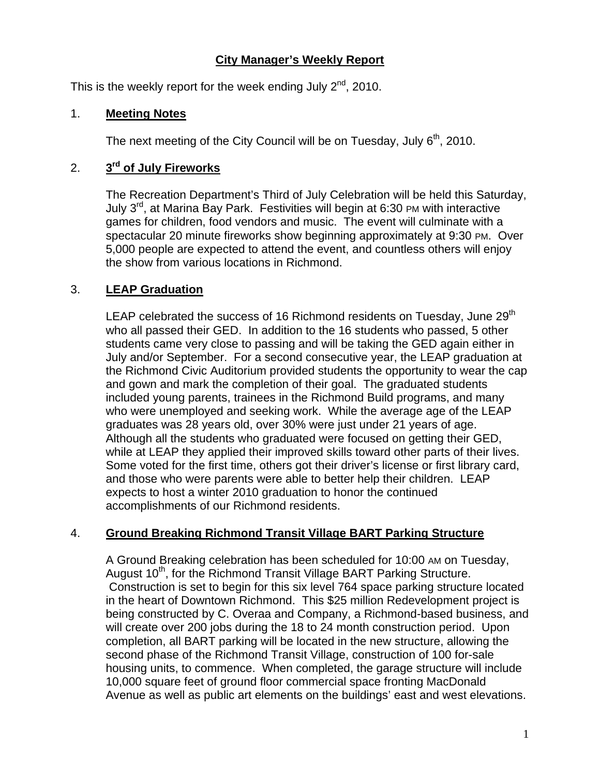## **City Manager's Weekly Report**

This is the weekly report for the week ending July  $2^{nd}$ , 2010.

### 1. **Meeting Notes**

The next meeting of the City Council will be on Tuesday, July  $6<sup>th</sup>$ , 2010.

## 2. **3rd of July Fireworks**

The Recreation Department's Third of July Celebration will be held this Saturday, July  $3<sup>rd</sup>$ , at Marina Bay Park. Festivities will begin at 6:30 PM with interactive games for children, food vendors and music. The event will culminate with a spectacular 20 minute fireworks show beginning approximately at 9:30 PM. Over 5,000 people are expected to attend the event, and countless others will enjoy the show from various locations in Richmond.

## 3. **LEAP Graduation**

LEAP celebrated the success of 16 Richmond residents on Tuesday, June 29<sup>th</sup> who all passed their GED. In addition to the 16 students who passed, 5 other students came very close to passing and will be taking the GED again either in July and/or September. For a second consecutive year, the LEAP graduation at the Richmond Civic Auditorium provided students the opportunity to wear the cap and gown and mark the completion of their goal. The graduated students included young parents, trainees in the Richmond Build programs, and many who were unemployed and seeking work. While the average age of the LEAP graduates was 28 years old, over 30% were just under 21 years of age. Although all the students who graduated were focused on getting their GED, while at LEAP they applied their improved skills toward other parts of their lives. Some voted for the first time, others got their driver's license or first library card, and those who were parents were able to better help their children. LEAP expects to host a winter 2010 graduation to honor the continued accomplishments of our Richmond residents.

## 4. **Ground Breaking Richmond Transit Village BART Parking Structure**

A Ground Breaking celebration has been scheduled for 10:00 AM on Tuesday, August 10<sup>th</sup>, for the Richmond Transit Village BART Parking Structure. Construction is set to begin for this six level 764 space parking structure located in the heart of Downtown Richmond. This \$25 million Redevelopment project is being constructed by C. Overaa and Company, a Richmond-based business, and will create over 200 jobs during the 18 to 24 month construction period. Upon completion, all BART parking will be located in the new structure, allowing the second phase of the Richmond Transit Village, construction of 100 for-sale housing units, to commence. When completed, the garage structure will include 10,000 square feet of ground floor commercial space fronting MacDonald Avenue as well as public art elements on the buildings' east and west elevations.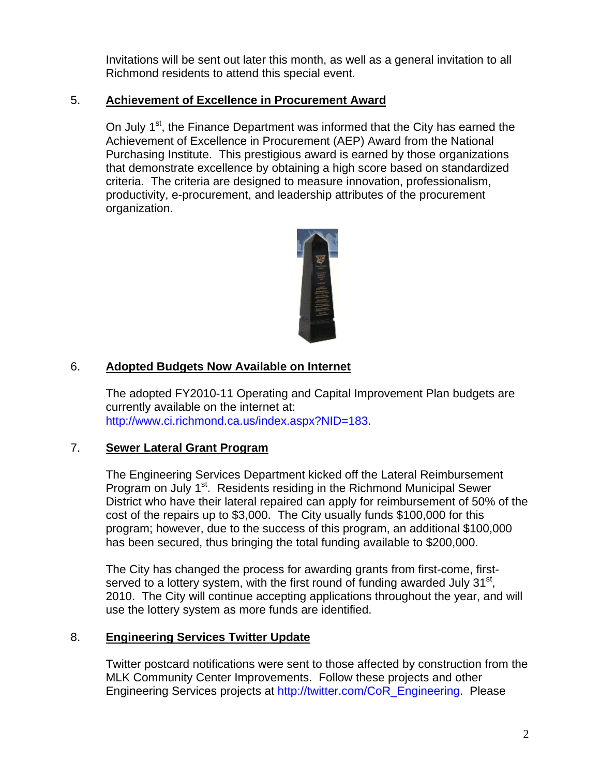Invitations will be sent out later this month, as well as a general invitation to all Richmond residents to attend this special event.

## 5. **Achievement of Excellence in Procurement Award**

On July 1<sup>st</sup>, the Finance Department was informed that the City has earned the Achievement of Excellence in Procurement (AEP) Award from the National Purchasing Institute. This prestigious award is earned by those organizations that demonstrate excellence by obtaining a high score based on standardized criteria. The criteria are designed to measure innovation, professionalism, productivity, e-procurement, and leadership attributes of the procurement organization.



## 6. **Adopted Budgets Now Available on Internet**

The adopted FY2010-11 Operating and Capital Improvement Plan budgets are currently available on the internet at: [http://www.ci.richmond.ca.us/index.aspx?NID=183.](http://www.ci.richmond.ca.us/index.aspx?NID=183)

# 7. **Sewer Lateral Grant Program**

The Engineering Services Department kicked off the Lateral Reimbursement Program on July 1<sup>st</sup>. Residents residing in the Richmond Municipal Sewer District who have their lateral repaired can apply for reimbursement of 50% of the cost of the repairs up to \$3,000. The City usually funds \$100,000 for this program; however, due to the success of this program, an additional \$100,000 has been secured, thus bringing the total funding available to \$200,000.

The City has changed the process for awarding grants from first-come, firstserved to a lottery system, with the first round of funding awarded July  $31<sup>st</sup>$ , 2010. The City will continue accepting applications throughout the year, and will use the lottery system as more funds are identified.

## 8. **Engineering Services Twitter Update**

Twitter postcard notifications were sent to those affected by construction from the MLK Community Center Improvements. Follow these projects and other Engineering Services projects at [http://twitter.com/CoR\\_Engineering](http://twitter.com/CoR_Engineering). Please